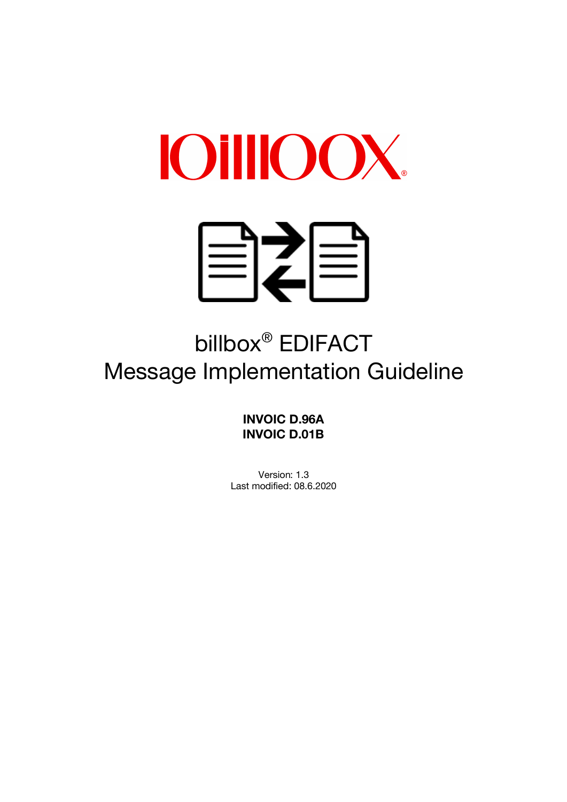



# billbox® EDIFACT Message Implementation Guideline

**INVOIC D.96A INVOIC D.01B**

Version: 1.3 Last modified: 08.6.2020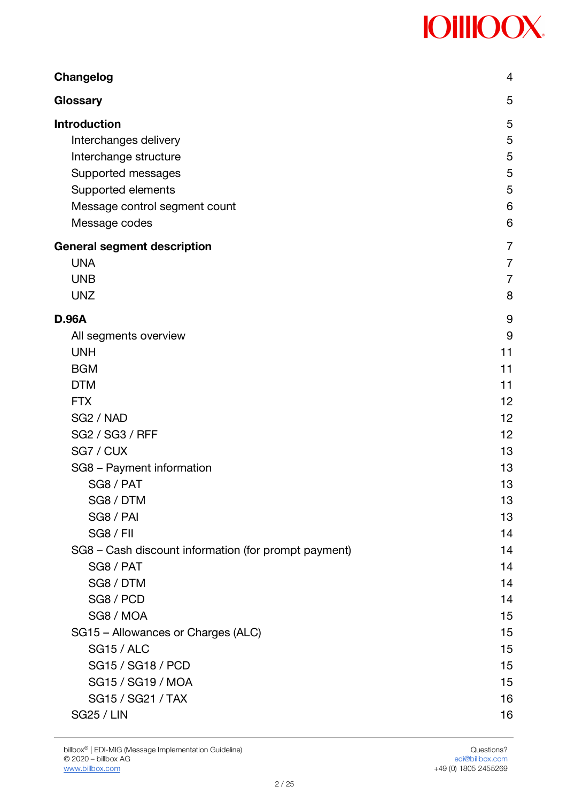| <b>Changelog</b>                                     | 4              |
|------------------------------------------------------|----------------|
| Glossary                                             | 5              |
| <b>Introduction</b>                                  | 5              |
| Interchanges delivery                                | 5              |
| Interchange structure                                | 5              |
| Supported messages                                   | 5              |
| Supported elements                                   | 5              |
| Message control segment count                        | 6              |
| Message codes                                        | 6              |
| <b>General segment description</b>                   | $\overline{7}$ |
| <b>UNA</b>                                           | 7              |
| <b>UNB</b>                                           | $\overline{7}$ |
| <b>UNZ</b>                                           | 8              |
| <b>D.96A</b>                                         | 9              |
| All segments overview                                | 9              |
| <b>UNH</b>                                           | 11             |
| <b>BGM</b>                                           | 11             |
| <b>DTM</b>                                           | 11             |
| <b>FTX</b>                                           | 12             |
| SG <sub>2</sub> / NAD                                | 12             |
| <b>SG2 / SG3 / RFF</b>                               | 12             |
| SG7 / CUX                                            | 13             |
| SG8 - Payment information                            | 13             |
| SG8 / PAT                                            | 13             |
| SG8 / DTM                                            | 13             |
| SG8 / PAI                                            | 13             |
| <b>SG8 / FII</b>                                     | 14             |
| SG8 - Cash discount information (for prompt payment) | 14             |
| SG8 / PAT                                            | 14             |
| SG8 / DTM                                            | 14             |
| SG8 / PCD                                            | 14             |
| SG8 / MOA                                            | 15             |
| SG15 - Allowances or Charges (ALC)                   | 15             |
| <b>SG15 / ALC</b>                                    | 15             |
| SG15 / SG18 / PCD                                    | 15             |
| SG15 / SG19 / MOA                                    | 15             |
| SG15 / SG21 / TAX                                    | 16             |
| <b>SG25 / LIN</b>                                    | 16             |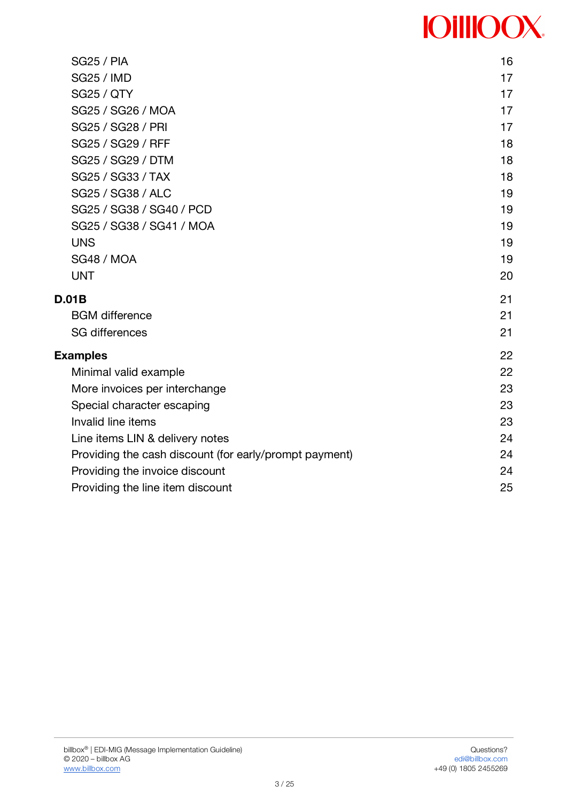| <b>SG25 / PIA</b>                                      | 16 |
|--------------------------------------------------------|----|
| <b>SG25 / IMD</b>                                      | 17 |
| <b>SG25 / QTY</b>                                      | 17 |
| SG25 / SG26 / MOA                                      | 17 |
| SG25 / SG28 / PRI                                      | 17 |
| SG25 / SG29 / RFF                                      | 18 |
| SG25 / SG29 / DTM                                      | 18 |
| SG25 / SG33 / TAX                                      | 18 |
| SG25 / SG38 / ALC                                      | 19 |
| SG25 / SG38 / SG40 / PCD                               | 19 |
| SG25 / SG38 / SG41 / MOA                               | 19 |
| <b>UNS</b>                                             | 19 |
| <b>SG48 / MOA</b>                                      | 19 |
| <b>UNT</b>                                             | 20 |
| D.01B                                                  | 21 |
| <b>BGM</b> difference                                  | 21 |
| <b>SG differences</b>                                  | 21 |
| <b>Examples</b>                                        | 22 |
| Minimal valid example                                  | 22 |
| More invoices per interchange                          | 23 |
| Special character escaping                             | 23 |
| Invalid line items                                     | 23 |
| Line items LIN & delivery notes                        | 24 |
| Providing the cash discount (for early/prompt payment) | 24 |
| Providing the invoice discount                         | 24 |
| Providing the line item discount                       | 25 |
|                                                        |    |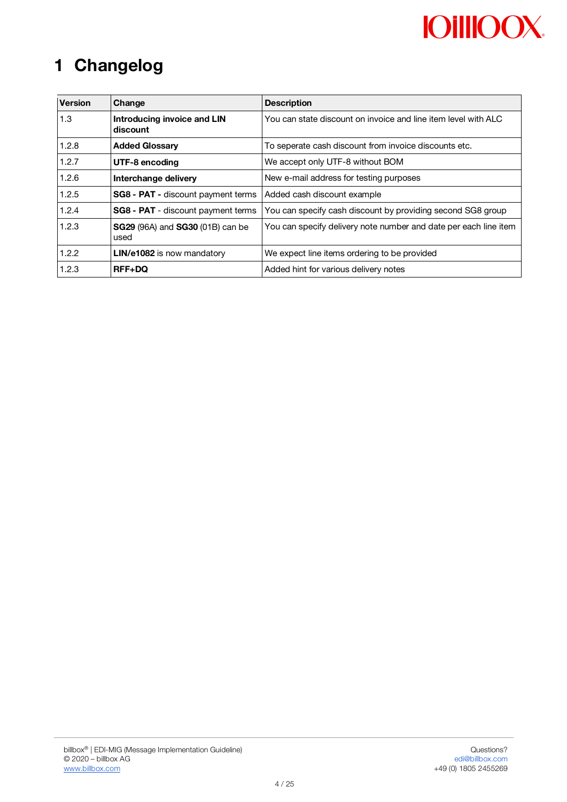# **1 Changelog**

| <b>Version</b>          | Change                                                 | <b>Description</b>                                               |  |  |
|-------------------------|--------------------------------------------------------|------------------------------------------------------------------|--|--|
| 1.3                     | Introducing invoice and LIN<br>discount                | You can state discount on invoice and line item level with ALC   |  |  |
| 1.2.8                   | <b>Added Glossary</b>                                  | To seperate cash discount from invoice discounts etc.            |  |  |
| 1.2.7<br>UTF-8 encoding |                                                        | We accept only UTF-8 without BOM                                 |  |  |
| 1.2.6                   | Interchange delivery                                   | New e-mail address for testing purposes                          |  |  |
| 1.2.5                   | <b>SG8 - PAT - discount payment terms</b>              | Added cash discount example                                      |  |  |
| 1.2.4                   | <b>SG8 - PAT</b> - discount payment terms              | You can specify cash discount by providing second SG8 group      |  |  |
| 1.2.3                   | <b>SG29</b> (96A) and <b>SG30</b> (01B) can be<br>used | You can specify delivery note number and date per each line item |  |  |
| 1.2.2                   | LIN/e1082 is now mandatory                             | We expect line items ordering to be provided                     |  |  |
| 1.2.3                   | <b>RFF+DQ</b>                                          | Added hint for various delivery notes                            |  |  |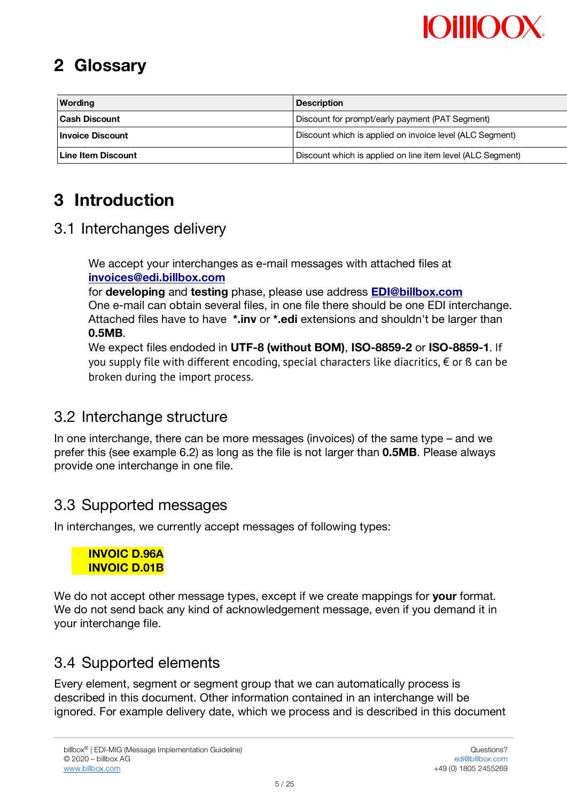# **MillOO**

# **2 Glossary**

| <b>Wording</b>       | <b>Description</b>                                         |  |  |
|----------------------|------------------------------------------------------------|--|--|
| <b>Cash Discount</b> | Discount for prompt/early payment (PAT Segment)            |  |  |
| l Invoice Discount   | Discount which is applied on invoice level (ALC Segment)   |  |  |
| l Line Item Discount | Discount which is applied on line item level (ALC Segment) |  |  |

# **3 Introduction**

## 3.1 Interchanges delivery

 We accept your interchanges as e-mail messages with attached files at **invoices@edi.billbox.com**

 for **developing** and **testing** phase, please use address **EDI@billbox.com** One e-mail can obtain several files, in one file there should be one EDI interchange. Attached files have to have **\*.inv** or **\*.edi** extensions and shouldn't be larger than **0.5MB**.

 We expect files endoded in **UTF-8 (without BOM)**, **ISO-8859-2** or **ISO-8859-1**. If you supply file with different encoding, special characters like diacritics,  $\epsilon$  or ß can be broken during the import process.

## 3.2 Interchange structure

In one interchange, there can be more messages (invoices) of the same type – and we prefer this (see example 6.2) as long as the file is not larger than **0.5MB**. Please always provide one interchange in one file.

## 3.3 Supported messages

In interchanges, we currently accept messages of following types:

#### **INVOIC D.96A INVOIC D.01B**

We do not accept other message types, except if we create mappings for **your** format. We do not send back any kind of acknowledgement message, even if you demand it in your interchange file.

## 3.4 Supported elements

Every element, segment or segment group that we can automatically process is described in this document. Other information contained in an interchange will be ignored. For example delivery date, which we process and is described in this document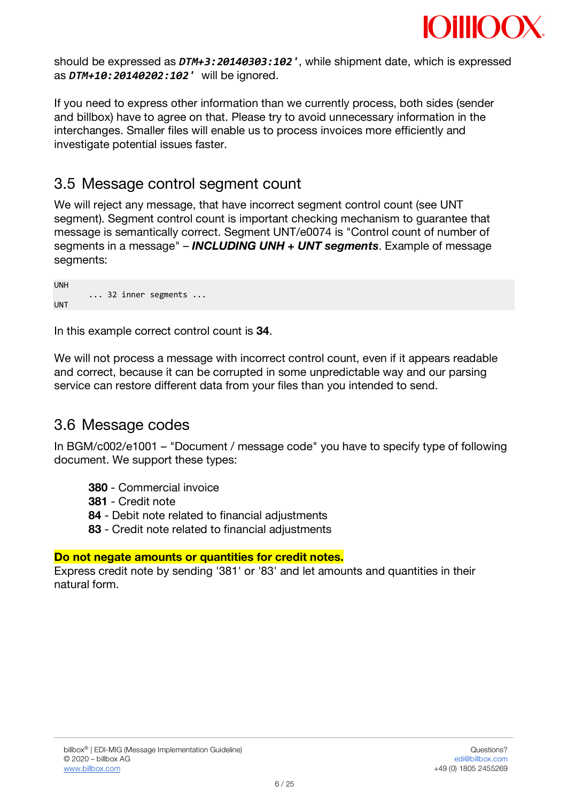

should be expressed as *DTM+3:20140303:102'*, while shipment date, which is expressed as *DTM+10:20140202:102'* will be ignored.

If you need to express other information than we currently process, both sides (sender and billbox) have to agree on that. Please try to avoid unnecessary information in the interchanges. Smaller files will enable us to process invoices more efficiently and investigate potential issues faster.

## 3.5 Message control segment count

We will reject any message, that have incorrect segment control count (see UNT segment). Segment control count is important checking mechanism to guarantee that message is semantically correct. Segment UNT/e0074 is "Control count of number of segments in a message" – *INCLUDING UNH + UNT segments*. Example of message segments:

| <b>UNH</b> |  |                                     |  |
|------------|--|-------------------------------------|--|
|            |  | $\ldots$ 32 inner segments $\ldots$ |  |
| <b>UNT</b> |  |                                     |  |

UNH

In this example correct control count is **34**.

We will not process a message with incorrect control count, even if it appears readable and correct, because it can be corrupted in some unpredictable way and our parsing service can restore different data from your files than you intended to send.

### 3.6 Message codes

In BGM/c002/e1001 – "Document / message code" you have to specify type of following document. We support these types:

- **380** Commercial invoice
- **381** Credit note
- **84** Debit note related to financial adjustments
- **83** Credit note related to financial adjustments

#### **Do not negate amounts or quantities for credit notes.**

Express credit note by sending '381' or '83' and let amounts and quantities in their natural form.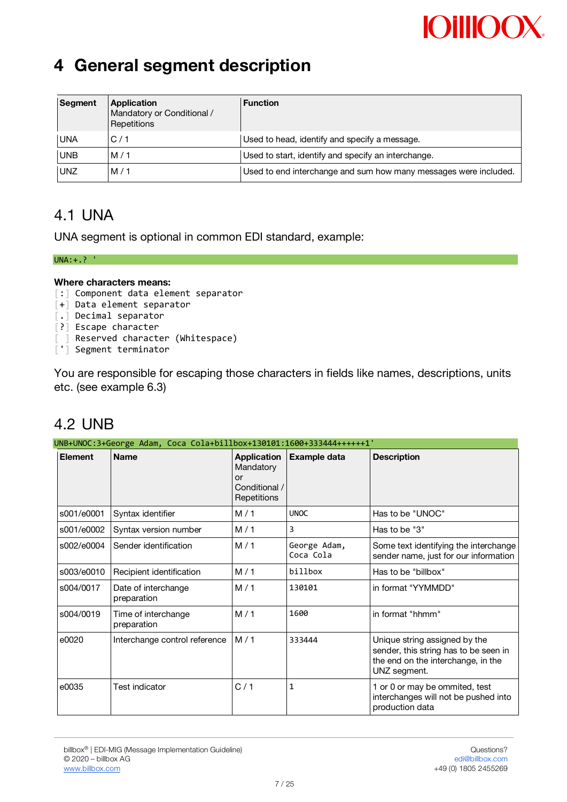# **OillOC**

# **4 General segment description**

| Segment    | Application<br><b>Function</b><br>Mandatory or Conditional /<br>Repetitions |                                                                  |  |  |  |
|------------|-----------------------------------------------------------------------------|------------------------------------------------------------------|--|--|--|
| <b>UNA</b> | C/1                                                                         | Used to head, identify and specify a message.                    |  |  |  |
| <b>UNB</b> | M/1                                                                         | Used to start, identify and specify an interchange.              |  |  |  |
| <b>UNZ</b> | M/1                                                                         | Used to end interchange and sum how many messages were included. |  |  |  |

## 4.1 UNA

UNA segment is optional in common EDI standard, example:

#### UNA:+.? '

#### **Where characters means:**

- [:] Component data element separator
- [+] Data element separator
- [.] Decimal separator
- [?] Escape character
- ] Reserved character (Whitespace)
- ['] Segment terminator

You are responsible for escaping those characters in fields like names, descriptions, units etc. (see example 6.3)

# 4.2 UNB

| UNB+UNOC:3+George Adam, Coca Cola+billbox+130101:1600+333444++++++1' |                                    |                                                                       |                           |                                                                                                                              |  |  |
|----------------------------------------------------------------------|------------------------------------|-----------------------------------------------------------------------|---------------------------|------------------------------------------------------------------------------------------------------------------------------|--|--|
| <b>Element</b>                                                       | <b>Name</b>                        | <b>Application</b><br>Mandatory<br>or<br>Conditional /<br>Repetitions | <b>Example data</b>       | <b>Description</b>                                                                                                           |  |  |
| s001/e0001                                                           | Syntax identifier                  | M/1                                                                   | <b>UNOC</b>               | Has to be "UNOC"                                                                                                             |  |  |
| s001/e0002                                                           | Syntax version number              | M/1                                                                   | 3                         | Has to be "3"                                                                                                                |  |  |
| s002/e0004                                                           | Sender identification              | M/1                                                                   | George Adam,<br>Coca Cola | Some text identifying the interchange<br>sender name, just for our information                                               |  |  |
| s003/e0010                                                           | Recipient identification           | M/1                                                                   | billbox                   | Has to be "billbox"                                                                                                          |  |  |
| s004/0017                                                            | Date of interchange<br>preparation | M/1                                                                   | 130101                    | in format "YYMMDD"                                                                                                           |  |  |
| s004/0019                                                            | Time of interchange<br>preparation | M/1                                                                   | 1600                      | in format "hhmm"                                                                                                             |  |  |
| e0020                                                                | Interchange control reference      | M/1                                                                   | 333444                    | Unique string assigned by the<br>sender, this string has to be seen in<br>the end on the interchange, in the<br>UNZ segment. |  |  |
| e0035                                                                | <b>Test indicator</b>              | C/1                                                                   | 1                         | 1 or 0 or may be ommited, test<br>interchanges will not be pushed into<br>production data                                    |  |  |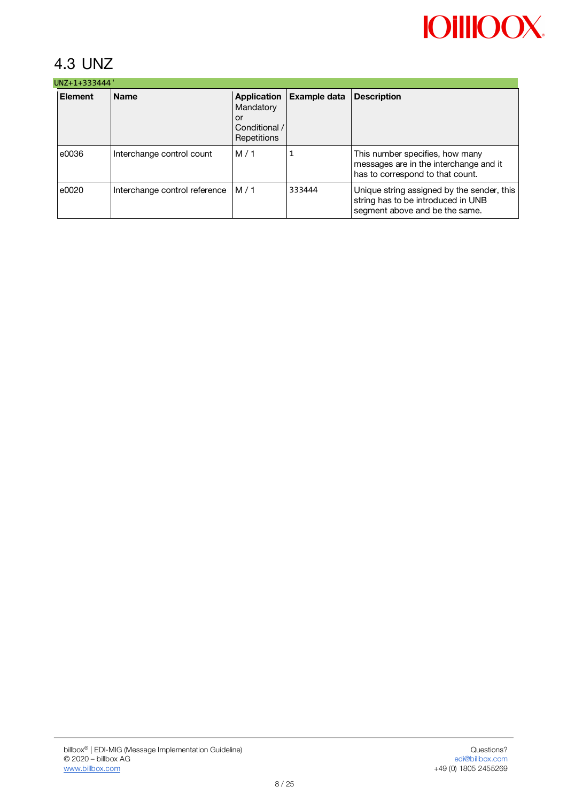# 4.3 UNZ

| UNZ+1+333444'  |                               |                                                                |              |                                                                                                                    |  |  |
|----------------|-------------------------------|----------------------------------------------------------------|--------------|--------------------------------------------------------------------------------------------------------------------|--|--|
| <b>Element</b> | <b>Name</b>                   | Application<br>Mandatory<br>or<br>Conditional /<br>Repetitions | Example data | <b>Description</b>                                                                                                 |  |  |
| e0036          | Interchange control count     | M/1                                                            |              | This number specifies, how many<br>messages are in the interchange and it<br>has to correspond to that count.      |  |  |
| e0020          | Interchange control reference | M/1                                                            | 333444       | Unique string assigned by the sender, this<br>string has to be introduced in UNB<br>segment above and be the same. |  |  |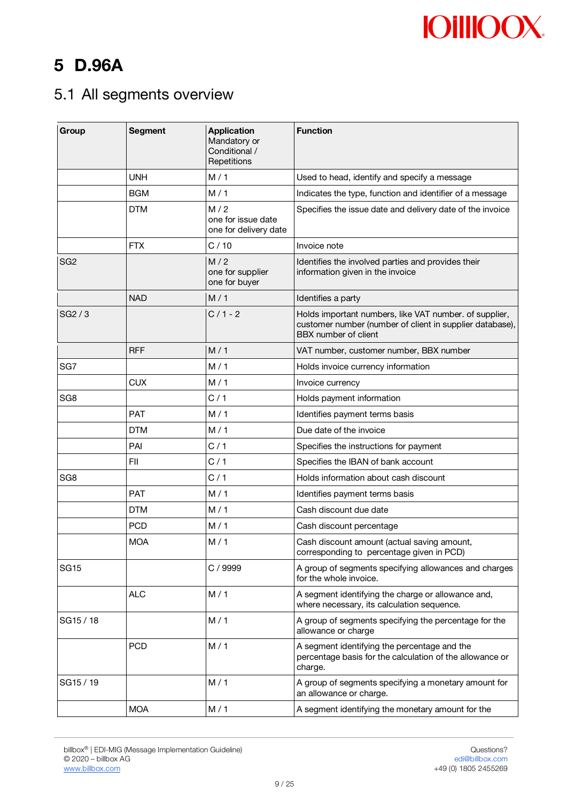# **5 D.96A**

# 5.1 All segments overview

| Group           | <b>Segment</b><br><b>Application</b><br>Mandatory or<br>Conditional /<br>Repetitions |                                                    | <b>Function</b>                                                                                                                            |  |  |
|-----------------|--------------------------------------------------------------------------------------|----------------------------------------------------|--------------------------------------------------------------------------------------------------------------------------------------------|--|--|
|                 | <b>UNH</b>                                                                           | M/1                                                | Used to head, identify and specify a message                                                                                               |  |  |
|                 | <b>BGM</b>                                                                           | M/1                                                | Indicates the type, function and identifier of a message                                                                                   |  |  |
|                 | <b>DTM</b>                                                                           | M/2<br>one for issue date<br>one for delivery date | Specifies the issue date and delivery date of the invoice                                                                                  |  |  |
|                 | <b>FTX</b>                                                                           | C/10                                               | Invoice note                                                                                                                               |  |  |
| SG2             |                                                                                      | M/2<br>one for supplier<br>one for buyer           | Identifies the involved parties and provides their<br>information given in the invoice                                                     |  |  |
|                 | <b>NAD</b>                                                                           | M/1                                                | Identifies a party                                                                                                                         |  |  |
| SG2/3           |                                                                                      | $C/1 - 2$                                          | Holds important numbers, like VAT number. of supplier,<br>customer number (number of client in supplier database),<br>BBX number of client |  |  |
|                 | <b>RFF</b>                                                                           | M/1                                                | VAT number, customer number, BBX number                                                                                                    |  |  |
| SG7             |                                                                                      | M/1                                                | Holds invoice currency information                                                                                                         |  |  |
|                 | <b>CUX</b>                                                                           | M/1                                                | Invoice currency                                                                                                                           |  |  |
| SG <sub>8</sub> |                                                                                      | C/1                                                | Holds payment information                                                                                                                  |  |  |
|                 | <b>PAT</b>                                                                           | M/1                                                | Identifies payment terms basis                                                                                                             |  |  |
|                 | <b>DTM</b>                                                                           | M/1                                                | Due date of the invoice                                                                                                                    |  |  |
|                 | PAI                                                                                  | C/1                                                | Specifies the instructions for payment                                                                                                     |  |  |
|                 | FII                                                                                  | C/1                                                | Specifies the IBAN of bank account                                                                                                         |  |  |
| SG <sub>8</sub> |                                                                                      | C/1                                                | Holds information about cash discount                                                                                                      |  |  |
|                 | <b>PAT</b>                                                                           | M/1                                                | Identifies payment terms basis                                                                                                             |  |  |
|                 | <b>DTM</b>                                                                           | M/1                                                | Cash discount due date                                                                                                                     |  |  |
|                 | <b>PCD</b>                                                                           | M/1                                                | Cash discount percentage                                                                                                                   |  |  |
|                 | <b>MOA</b>                                                                           | M/1                                                | Cash discount amount (actual saving amount,<br>corresponding to percentage given in PCD)                                                   |  |  |
| <b>SG15</b>     |                                                                                      | C / 9999                                           | A group of segments specifying allowances and charges<br>for the whole invoice.                                                            |  |  |
|                 | <b>ALC</b>                                                                           | M/1                                                | A segment identifying the charge or allowance and,<br>where necessary, its calculation sequence.                                           |  |  |
| SG15 / 18       |                                                                                      | M/1                                                | A group of segments specifying the percentage for the<br>allowance or charge                                                               |  |  |
|                 | <b>PCD</b>                                                                           | M/1                                                | A segment identifying the percentage and the<br>percentage basis for the calculation of the allowance or<br>charge.                        |  |  |
| SG15 / 19       |                                                                                      | M/1                                                | A group of segments specifying a monetary amount for<br>an allowance or charge.                                                            |  |  |
|                 | <b>MOA</b>                                                                           | M/1                                                | A segment identifying the monetary amount for the                                                                                          |  |  |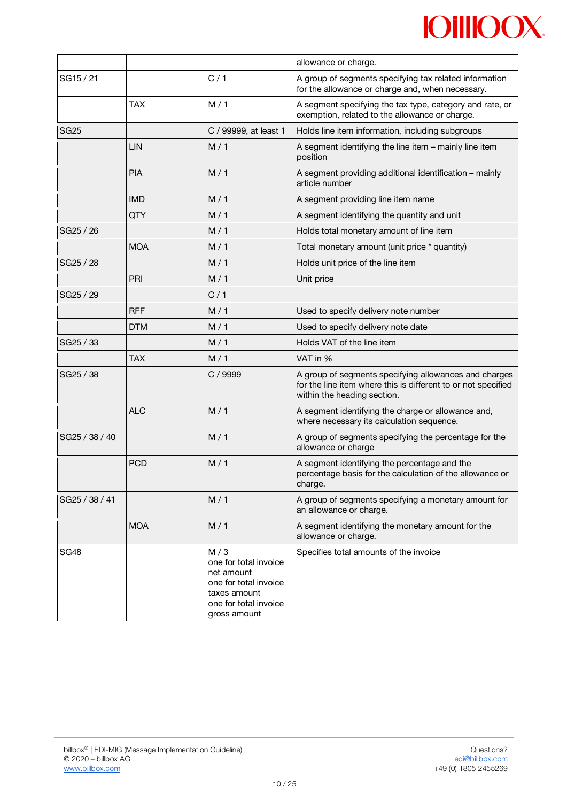|                   |            |                                                                                                                              | allowance or charge.                                                                                                                                  |  |  |
|-------------------|------------|------------------------------------------------------------------------------------------------------------------------------|-------------------------------------------------------------------------------------------------------------------------------------------------------|--|--|
| SG15 / 21         |            | C/1                                                                                                                          | A group of segments specifying tax related information<br>for the allowance or charge and, when necessary.                                            |  |  |
| M/1<br><b>TAX</b> |            |                                                                                                                              | A segment specifying the tax type, category and rate, or<br>exemption, related to the allowance or charge.                                            |  |  |
| <b>SG25</b>       |            | C / 99999, at least 1                                                                                                        | Holds line item information, including subgroups                                                                                                      |  |  |
|                   | LIN        | M/1                                                                                                                          | A segment identifying the line item - mainly line item<br>position                                                                                    |  |  |
|                   | <b>PIA</b> | M/1                                                                                                                          | A segment providing additional identification - mainly<br>article number                                                                              |  |  |
|                   | <b>IMD</b> | M/1                                                                                                                          | A segment providing line item name                                                                                                                    |  |  |
|                   | QTY        | M/1                                                                                                                          | A segment identifying the quantity and unit                                                                                                           |  |  |
| SG25 / 26         |            | M/1                                                                                                                          | Holds total monetary amount of line item                                                                                                              |  |  |
|                   | <b>MOA</b> | M/1                                                                                                                          | Total monetary amount (unit price * quantity)                                                                                                         |  |  |
| SG25 / 28         |            | M/1                                                                                                                          | Holds unit price of the line item                                                                                                                     |  |  |
|                   | PRI        | M/1                                                                                                                          | Unit price                                                                                                                                            |  |  |
| SG25 / 29         |            | C/1                                                                                                                          |                                                                                                                                                       |  |  |
|                   | <b>RFF</b> | M/1                                                                                                                          | Used to specify delivery note number                                                                                                                  |  |  |
|                   | <b>DTM</b> | M/1                                                                                                                          | Used to specify delivery note date                                                                                                                    |  |  |
| SG25 / 33         |            | M/1                                                                                                                          | Holds VAT of the line item                                                                                                                            |  |  |
|                   | <b>TAX</b> | M/1                                                                                                                          | VAT in %                                                                                                                                              |  |  |
| SG25 / 38         |            | C / 9999                                                                                                                     | A group of segments specifying allowances and charges<br>for the line item where this is different to or not specified<br>within the heading section. |  |  |
|                   | <b>ALC</b> | M/1                                                                                                                          | A segment identifying the charge or allowance and,<br>where necessary its calculation sequence.                                                       |  |  |
| SG25 / 38 / 40    |            | M/1                                                                                                                          | A group of segments specifying the percentage for the<br>allowance or charge                                                                          |  |  |
|                   | <b>PCD</b> | M/1                                                                                                                          | A segment identifying the percentage and the<br>percentage basis for the calculation of the allowance or<br>charge.                                   |  |  |
| SG25 / 38 / 41    |            | M/1                                                                                                                          | A group of segments specifying a monetary amount for<br>an allowance or charge.                                                                       |  |  |
|                   | <b>MOA</b> | M/1                                                                                                                          | A segment identifying the monetary amount for the<br>allowance or charge.                                                                             |  |  |
| <b>SG48</b>       |            | M/3<br>one for total invoice<br>net amount<br>one for total invoice<br>taxes amount<br>one for total invoice<br>gross amount | Specifies total amounts of the invoice                                                                                                                |  |  |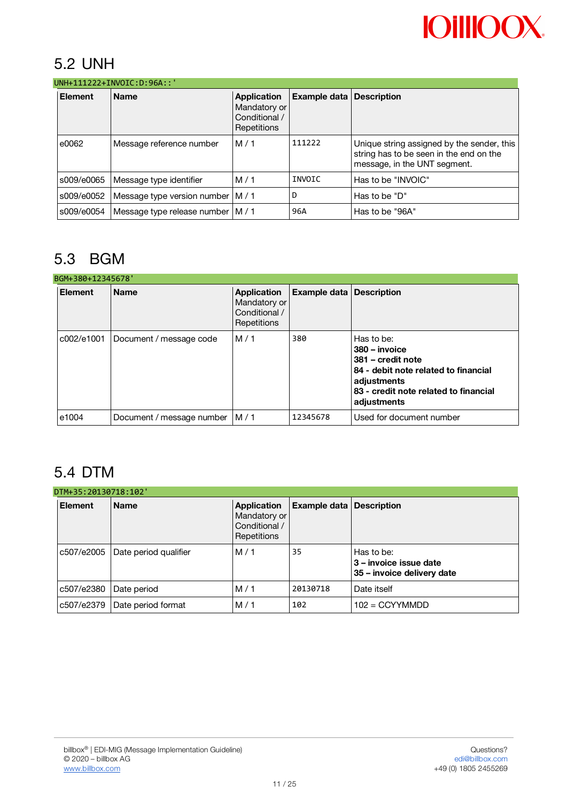## 5.2 UNH

| UNH+111222+INVOIC:D:96A::' |                                     |                                                             |                                 |                                                                                                                       |  |  |
|----------------------------|-------------------------------------|-------------------------------------------------------------|---------------------------------|-----------------------------------------------------------------------------------------------------------------------|--|--|
| <b>Element</b>             | <b>Name</b>                         | Application<br>Mandatory or<br>Conditional /<br>Repetitions | <b>Example data Description</b> |                                                                                                                       |  |  |
| e0062                      | Message reference number            | M/1                                                         | 111222                          | Unique string assigned by the sender, this<br>string has to be seen in the end on the<br>message, in the UNT segment. |  |  |
| s009/e0065                 | Message type identifier             | M/1                                                         | INVOIC                          | Has to be "INVOIC"                                                                                                    |  |  |
| s009/e0052                 | Message type version number         | M/1                                                         | D                               | Has to be "D"                                                                                                         |  |  |
| s009/e0054                 | Message type release number   M / 1 |                                                             | 96A                             | Has to be "96A"                                                                                                       |  |  |

# 5.3 BGM

| BGM+380+12345678' |                           |                                                                    |              |                                                                                                                                                                 |  |  |
|-------------------|---------------------------|--------------------------------------------------------------------|--------------|-----------------------------------------------------------------------------------------------------------------------------------------------------------------|--|--|
| <b>Element</b>    | <b>Name</b>               | <b>Application</b><br>Mandatory or<br>Conditional /<br>Repetitions | Example data | <b>Description</b>                                                                                                                                              |  |  |
| c002/e1001        | Document / message code   | M/1                                                                | 380          | Has to be:<br>380 - invoice<br>381 – credit note<br>84 - debit note related to financial<br>adjustments<br>83 - credit note related to financial<br>adjustments |  |  |
| e1004             | Document / message number | M/1                                                                | 12345678     | Used for document number                                                                                                                                        |  |  |

# 5.4 DTM

| <b>Element</b> | <b>Name</b>           | <b>Application</b><br>Mandatory or<br>Conditional / |          | <b>Example data Description</b>                                    |
|----------------|-----------------------|-----------------------------------------------------|----------|--------------------------------------------------------------------|
|                |                       | Repetitions                                         |          |                                                                    |
| c507/e2005     | Date period qualifier | M/1                                                 | 35       | Has to be:<br>3 – invoice issue date<br>35 – invoice delivery date |
| c507/e2380     | Date period           | M/1                                                 | 20130718 | Date itself                                                        |
| c507/e2379     | Date period format    | M/1                                                 | 102      | $102 = CCYYMMDD$                                                   |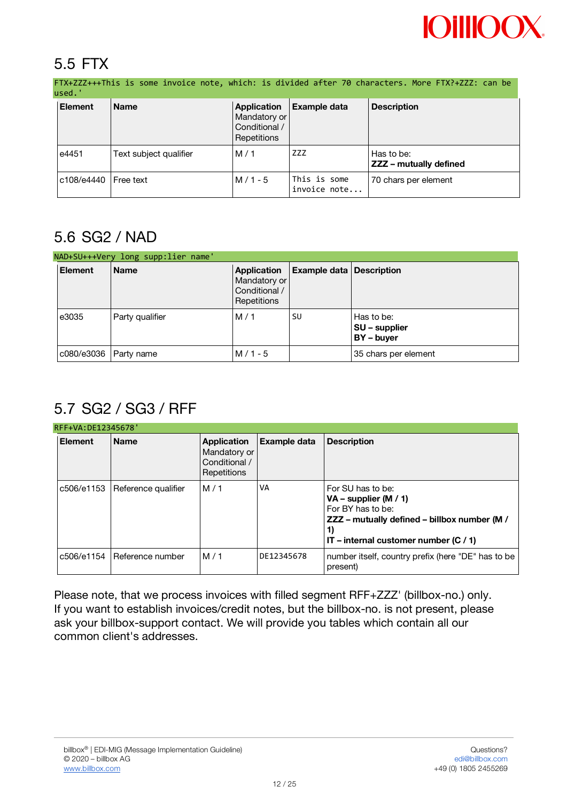# **OillOO**

# 5.5 FTX

FTX+ZZZ+++This is some invoice note, which: is divided after 70 characters. More FTX?+ZZZ: can be used.' **Element Name Application Example data Description**

|       |                         | Mandatory or<br>Conditional /<br>Repetitions |                              |                                      |
|-------|-------------------------|----------------------------------------------|------------------------------|--------------------------------------|
| e4451 | Text subject qualifier  | M/1                                          | ZZZ                          | Has to be:<br>ZZZ - mutually defined |
|       | l c108/e4440 IFree text | $M/1 - 5$                                    | This is some<br>invoice note | 70 chars per element                 |

# 5.6 SG2 / NAD

|                         | NAD+SU+++Very long supp:lier name' |                                                             |                                 |                                           |  |  |  |
|-------------------------|------------------------------------|-------------------------------------------------------------|---------------------------------|-------------------------------------------|--|--|--|
| <b>Element</b>          | <b>Name</b>                        | Application<br>Mandatory or<br>Conditional /<br>Repetitions | <b>Example data Description</b> |                                           |  |  |  |
| e3035                   | Party qualifier                    | M/1                                                         | SU                              | Has to be:<br>SU – supplier<br>BY - buyer |  |  |  |
| c080/e3036   Party name |                                    | $M/1 - 5$                                                   |                                 | 35 chars per element                      |  |  |  |

# 5.7 SG2 / SG3 / RFF

| RFF+VA: DE12345678' |                     |                                                                    |                     |                                                                                                                                                                    |  |  |
|---------------------|---------------------|--------------------------------------------------------------------|---------------------|--------------------------------------------------------------------------------------------------------------------------------------------------------------------|--|--|
| <b>Element</b>      | <b>Name</b>         | <b>Application</b><br>Mandatory or<br>Conditional /<br>Repetitions | <b>Example data</b> | <b>Description</b>                                                                                                                                                 |  |  |
| c506/e1153          | Reference qualifier | M/1                                                                | VA                  | For SU has to be:<br>$VA$ – supplier (M / 1)<br>For BY has to be:<br>ZZZ - mutually defined - billbox number (M /<br>1)<br>IT – internal customer number $(C / 1)$ |  |  |
| c506/e1154          | Reference number    | M/1                                                                | DE12345678          | number itself, country prefix (here "DE" has to be<br>present)                                                                                                     |  |  |

Please note, that we process invoices with filled segment RFF+ZZZ' (billbox-no.) only. If you want to establish invoices/credit notes, but the billbox-no. is not present, please ask your billbox-support contact. We will provide you tables which contain all our common client's addresses.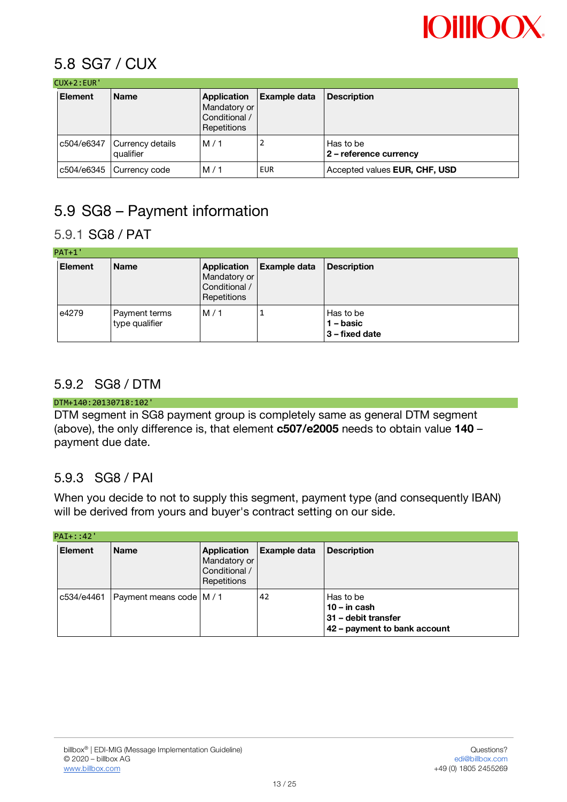

## 5.8 SG7 / CUX

| $CUX+2:EUR'$ |  |
|--------------|--|
|--------------|--|

| LUA+Z:EUR      |                               |                                                                           |                     |                                     |  |
|----------------|-------------------------------|---------------------------------------------------------------------------|---------------------|-------------------------------------|--|
| <b>Element</b> | <b>Name</b>                   | <b>Application</b><br>Mandatory or<br>Conditional /<br><b>Repetitions</b> | <b>Example data</b> | <b>Description</b>                  |  |
| c504/e6347     | Currency details<br>qualifier | M/1                                                                       |                     | Has to be<br>2 - reference currency |  |
|                | c504/e6345 Currency code      | M/1                                                                       | <b>EUR</b>          | Accepted values EUR, CHF, USD       |  |

# 5.9 SG8 – Payment information

### 5.9.1 SG8 / PAT

| PATH'          |                                 |                                                             |                     |                                            |  |  |
|----------------|---------------------------------|-------------------------------------------------------------|---------------------|--------------------------------------------|--|--|
| <b>Element</b> | <b>Name</b>                     | Application<br>Mandatory or<br>Conditional /<br>Repetitions | <b>Example data</b> | <b>Description</b>                         |  |  |
| e4279          | Payment terms<br>type qualifier | M/1                                                         |                     | Has to be<br>1 – basic<br>  3 – fixed date |  |  |

### 5.9.2 SG8 / DTM

#### DTM+140:20130718:102'

DTM segment in SG8 payment group is completely same as general DTM segment (above), the only difference is, that element **c507/e2005** needs to obtain value **140** – payment due date.

### 5.9.3 SG8 / PAI

When you decide to not to supply this segment, payment type (and consequently IBAN) will be derived from yours and buyer's contract setting on our side.

| $PAI+: 142'$   |                            |                                                             |                     |                                                                                    |  |
|----------------|----------------------------|-------------------------------------------------------------|---------------------|------------------------------------------------------------------------------------|--|
| <b>Element</b> | <b>Name</b>                | Application<br>Mandatory or<br>Conditional /<br>Repetitions | <b>Example data</b> | <b>Description</b>                                                                 |  |
| c534/e4461     | Payment means code   M / 1 |                                                             | 42                  | Has to be<br>$10 - in cash$<br>31 - debit transfer<br>42 - payment to bank account |  |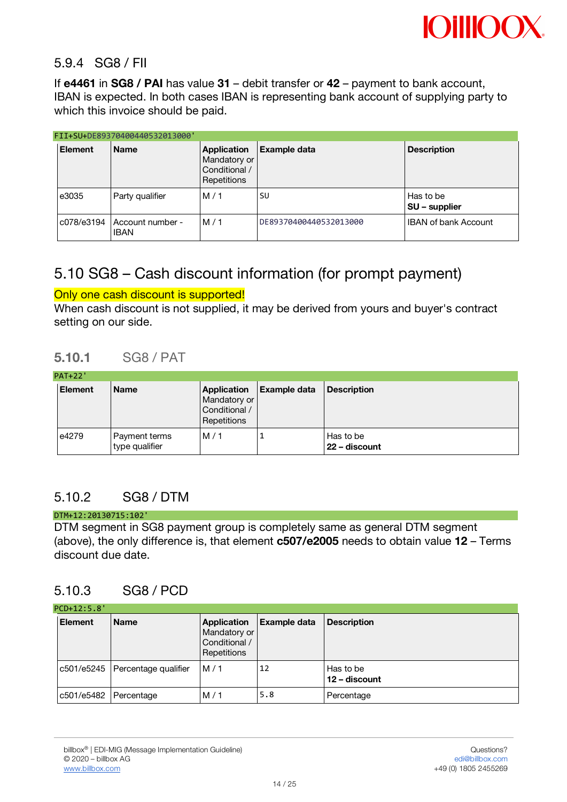

#### 5.9.4 SG8 / FII

If **e4461** in **SG8 / PAI** has value **31** – debit transfer or **42** – payment to bank account, IBAN is expected. In both cases IBAN is representing bank account of supplying party to which this invoice should be paid.

|                | FII+SU+DE89370400440532013000'         |                                                             |                        |                                   |  |  |
|----------------|----------------------------------------|-------------------------------------------------------------|------------------------|-----------------------------------|--|--|
| <b>Element</b> | <b>Name</b>                            | Application<br>Mandatory or<br>Conditional /<br>Repetitions | <b>Example data</b>    | <b>Description</b>                |  |  |
| e3035          | Party qualifier                        | M/1                                                         | SU                     | Has to be<br><b>SU</b> – supplier |  |  |
| c078/e3194     | <b>Account number -</b><br><b>IBAN</b> | M/1                                                         | DE89370400440532013000 | <b>IBAN of bank Account</b>       |  |  |

## 5.10 SG8 – Cash discount information (for prompt payment)

#### Only one cash discount is supported!

When cash discount is not supplied, it may be derived from yours and buyer's contract setting on our side.

#### **5.10.1** SG8 / PAT

| <b>PAT+22'</b> |                                 |                                              |                            |                            |  |
|----------------|---------------------------------|----------------------------------------------|----------------------------|----------------------------|--|
| <b>Element</b> | <b>Name</b>                     | Mandatory or<br>Conditional /<br>Repetitions | Application   Example data | Description                |  |
| e4279          | Payment terms<br>type qualifier | M/1                                          |                            | Has to be<br>22 – discount |  |

### 5.10.2 SG8 / DTM

#### DTM+12:20130715:102'

DTM segment in SG8 payment group is completely same as general DTM segment (above), the only difference is, that element **c507/e2005** needs to obtain value **12** – Terms discount due date.

#### 5.10.3 SG8 / PCD

| PCD+12:5.8'    |                                   |                                                             |                     |                            |  |  |
|----------------|-----------------------------------|-------------------------------------------------------------|---------------------|----------------------------|--|--|
| <b>Element</b> | <b>Name</b>                       | Application<br>Mandatory or<br>Conditional /<br>Repetitions | <b>Example data</b> | <b>Description</b>         |  |  |
|                | c501/e5245   Percentage qualifier | M/1                                                         | 12                  | Has to be<br>12 - discount |  |  |
| c501/e5482     | Percentage                        | M/1                                                         | 5.8                 | Percentage                 |  |  |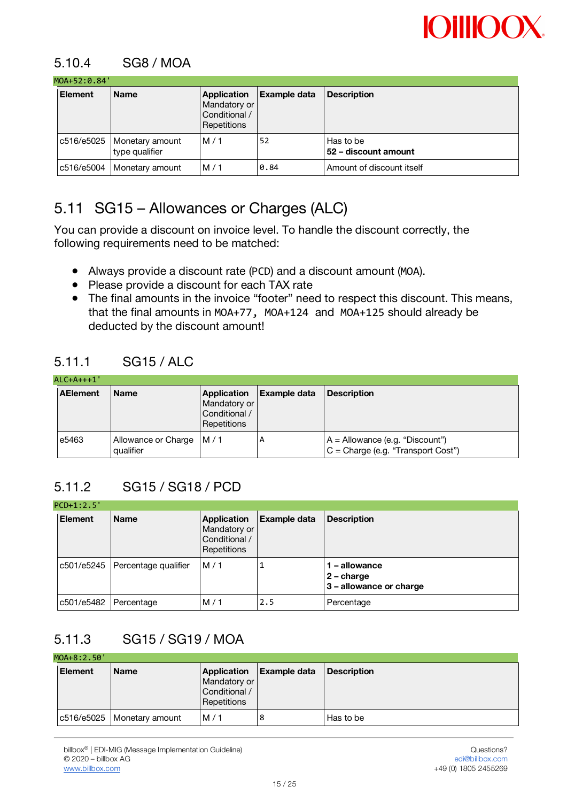

### 5.10.4 SG8 / MOA

#### $MOL+52:A.84'$

| .<br><b>Element</b> | <b>Name</b>                                    | Application<br>Mandatory or<br>Conditional /<br>Repetitions | <b>Example data</b> | <b>Description</b>                |
|---------------------|------------------------------------------------|-------------------------------------------------------------|---------------------|-----------------------------------|
|                     | c516/e5025   Monetary amount<br>type qualifier | M/1                                                         | 52                  | Has to be<br>52 – discount amount |
|                     | c516/e5004   Monetary amount                   | M/1                                                         | 0.84                | Amount of discount itself         |

# 5.11 SG15 – Allowances or Charges (ALC)

You can provide a discount on invoice level. To handle the discount correctly, the following requirements need to be matched:

- Always provide a discount rate (PCD) and a discount amount (MOA).
- Please provide a discount for each TAX rate
- The final amounts in the invoice "footer" need to respect this discount. This means, that the final amounts in MOA+77, MOA+124 and MOA+125 should already be deducted by the discount amount!

#### 5.11.1 SG15 / ALC

| $ALC+A++1'$     |                                          |                                                                    |              |                                                                           |  |  |  |
|-----------------|------------------------------------------|--------------------------------------------------------------------|--------------|---------------------------------------------------------------------------|--|--|--|
| <b>AElement</b> | <b>Name</b>                              | <b>Application</b><br>Mandatory or<br>Conditional /<br>Repetitions | Example data | <b>Description</b>                                                        |  |  |  |
| e5463           | Allowance or Charge   M / 1<br>qualifier |                                                                    | А            | $A =$ Allowance (e.g. "Discount")<br>$C =$ Charge (e.g. "Transport Cost") |  |  |  |

### 5.11.2 SG15 / SG18 / PCD

| $PCD+1:2.5'$          |                                   |                                                             |                     |                                                          |  |  |
|-----------------------|-----------------------------------|-------------------------------------------------------------|---------------------|----------------------------------------------------------|--|--|
| <b>Element</b>        | <b>Name</b>                       | Application<br>Mandatory or<br>Conditional /<br>Repetitions | <b>Example data</b> | <b>Description</b>                                       |  |  |
|                       | c501/e5245   Percentage qualifier | M/1                                                         |                     | 1 - allowance<br>$2$ – charge<br>3 - allowance or charge |  |  |
| c501/e5482 Percentage |                                   | M/1                                                         | 2.5                 | Percentage                                               |  |  |

## 5.11.3 SG15 / SG19 / MOA

| MOA+8:2.50' |                              |                                              |                            |                    |  |  |  |  |
|-------------|------------------------------|----------------------------------------------|----------------------------|--------------------|--|--|--|--|
| Element     | l Name                       | Mandatory or<br>Conditional /<br>Repetitions | Application   Example data | <b>Description</b> |  |  |  |  |
|             | c516/e5025   Monetary amount | M/1                                          | 8                          | Has to be          |  |  |  |  |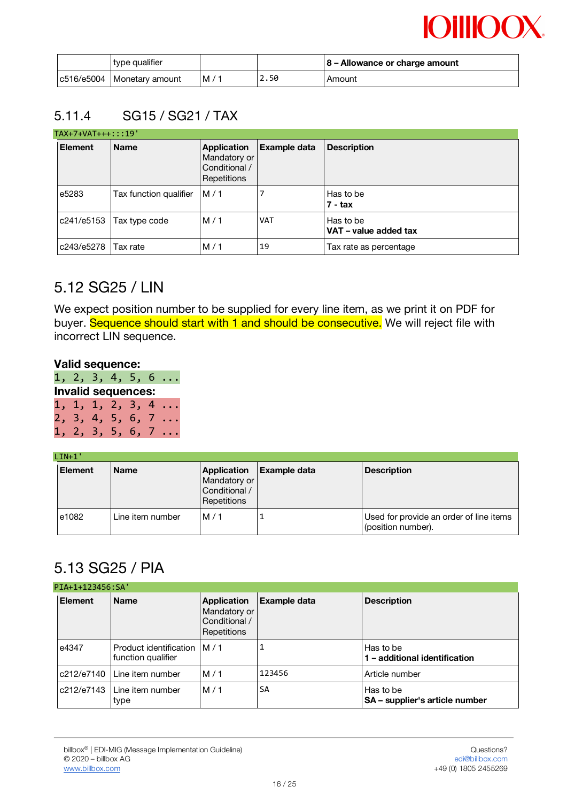| type qualifier               |    |      | 8 – Allowance or charge amount |
|------------------------------|----|------|--------------------------------|
| c516/e5004   Monetary amount | M/ | 2.50 | Amount                         |

### 5.11.4 SG15 / SG21 / TAX

|                | $TAX+7+VAT++$ ::19'    |                                                             |              |                                    |  |  |  |  |
|----------------|------------------------|-------------------------------------------------------------|--------------|------------------------------------|--|--|--|--|
| <b>Element</b> | <b>Name</b>            | Application<br>Mandatory or<br>Conditional /<br>Repetitions | Example data | <b>Description</b>                 |  |  |  |  |
| e5283          | Tax function qualifier | M/1                                                         |              | Has to be<br>7 - tax               |  |  |  |  |
| c241/e5153     | Tax type code          | M/1                                                         | <b>VAT</b>   | Has to be<br>VAT - value added tax |  |  |  |  |
| c243/e5278     | Tax rate               | M/1                                                         | 19           | Tax rate as percentage             |  |  |  |  |

## 5.12 SG25 / LIN

We expect position number to be supplied for every line item, as we print it on PDF for buyer. Sequence should start with 1 and should be consecutive. We will reject file with incorrect LIN sequence.

#### **Valid sequence:**

|  |                           |  | 1, 2, 3, 4, 5, 6          |
|--|---------------------------|--|---------------------------|
|  | <b>Invalid sequences:</b> |  |                           |
|  |                           |  | $1, 1, 1, 2, 3, 4 \ldots$ |
|  |                           |  | $2, 3, 4, 5, 6, 7 \ldots$ |
|  |                           |  | $1, 2, 3, 5, 6, 7 \ldots$ |

#### $L$  TN $+1$ <sup>'</sup>

| <b>Element</b> | <b>Name</b>      | Application<br>Mandatory or<br>Conditional /<br>Repetitions | <b>Example data</b> | <b>Description</b>                                            |
|----------------|------------------|-------------------------------------------------------------|---------------------|---------------------------------------------------------------|
| e1082          | Line item number | M/1                                                         |                     | Used for provide an order of line items<br>(position number). |

## 5.13 SG25 / PIA

|                | PIA+1+123456:SA'                                    |                                                             |                     |                                             |  |  |  |  |
|----------------|-----------------------------------------------------|-------------------------------------------------------------|---------------------|---------------------------------------------|--|--|--|--|
| <b>Element</b> | <b>Name</b>                                         | Application<br>Mandatory or<br>Conditional /<br>Repetitions | <b>Example data</b> | <b>Description</b>                          |  |  |  |  |
| e4347          | Product identification IM / 1<br>function qualifier |                                                             |                     | Has to be<br>l – additional identification  |  |  |  |  |
| c212/e7140     | Line item number                                    | M/1                                                         | 123456              | Article number                              |  |  |  |  |
| c212/e7143     | Line item number<br>type                            | M/1                                                         | SA                  | Has to be<br>SA - supplier's article number |  |  |  |  |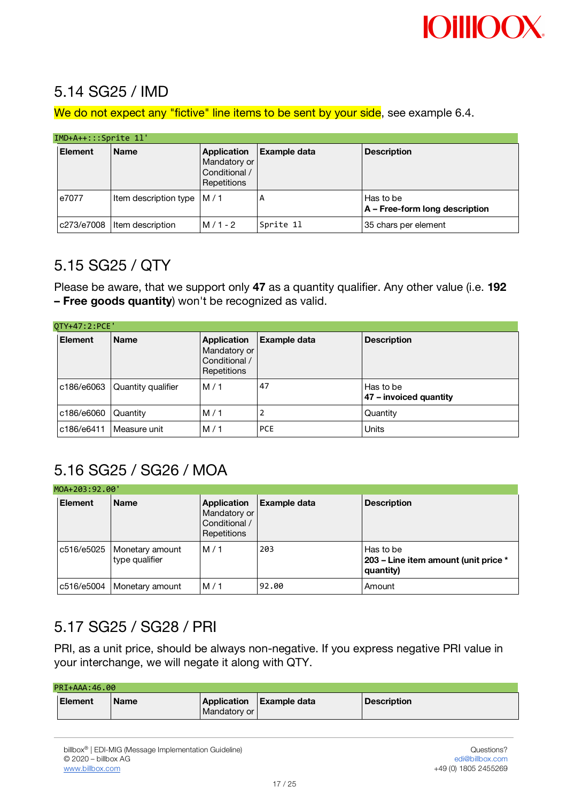

## 5.14 SG25 / IMD

We do not expect any "fictive" line items to be sent by your side, see example 6.4.

#### IMD+A++:::Sprite 1l'

|                | INDIATTJPLICE II              |                                                             |                     |                                             |  |  |  |  |
|----------------|-------------------------------|-------------------------------------------------------------|---------------------|---------------------------------------------|--|--|--|--|
| <b>Element</b> | <b>Name</b>                   | Application<br>Mandatory or<br>Conditional /<br>Repetitions | <b>Example data</b> | <b>Description</b>                          |  |  |  |  |
| e7077          | Item description type   M / 1 |                                                             | А                   | Has to be<br>A – Free-form long description |  |  |  |  |
|                | c273/e7008  ltem description  | $M/1 - 2$                                                   | Sprite 11           | 35 chars per element                        |  |  |  |  |

### 5.15 SG25 / QTY

Please be aware, that we support only **47** as a quantity qualifier. Any other value (i.e. **192 – Free goods quantity**) won't be recognized as valid.

| OTY+47:2:PCE'  |                    |                                                             |                     |                                     |  |  |  |
|----------------|--------------------|-------------------------------------------------------------|---------------------|-------------------------------------|--|--|--|
| <b>Element</b> | <b>Name</b>        | Application<br>Mandatory or<br>Conditional /<br>Repetitions | <b>Example data</b> | <b>Description</b>                  |  |  |  |
| c186/e6063     | Quantity qualifier | M/1                                                         | 47                  | Has to be<br>47 - invoiced quantity |  |  |  |
| c186/e6060     | Quantity           | M/1                                                         | ∠                   | Quantity                            |  |  |  |
| c186/e6411     | Measure unit       | M/1                                                         | <b>PCE</b>          | Units                               |  |  |  |

# 5.16 SG25 / SG26 / MOA

|                | MOA+203:92.00'                                 |                                                             |              |                                                                |  |  |  |  |
|----------------|------------------------------------------------|-------------------------------------------------------------|--------------|----------------------------------------------------------------|--|--|--|--|
| <b>Element</b> | <b>Name</b>                                    | Application<br>Mandatory or<br>Conditional /<br>Repetitions | Example data | <b>Description</b>                                             |  |  |  |  |
|                | c516/e5025   Monetary amount<br>type qualifier | M/1                                                         | 203          | Has to be<br>203 – Line item amount (unit price *<br>quantity) |  |  |  |  |
|                | c516/e5004   Monetary amount                   | M/1                                                         | 92.00        | Amount                                                         |  |  |  |  |

# 5.17 SG25 / SG28 / PRI

PRI, as a unit price, should be always non-negative. If you express negative PRI value in your interchange, we will negate it along with QTY.

| PRI+AAA: 46.00 |             |              |                          |                    |  |  |  |  |
|----------------|-------------|--------------|--------------------------|--------------------|--|--|--|--|
| l Element      | <b>Name</b> | Mandatory or | Application Example data | <b>Description</b> |  |  |  |  |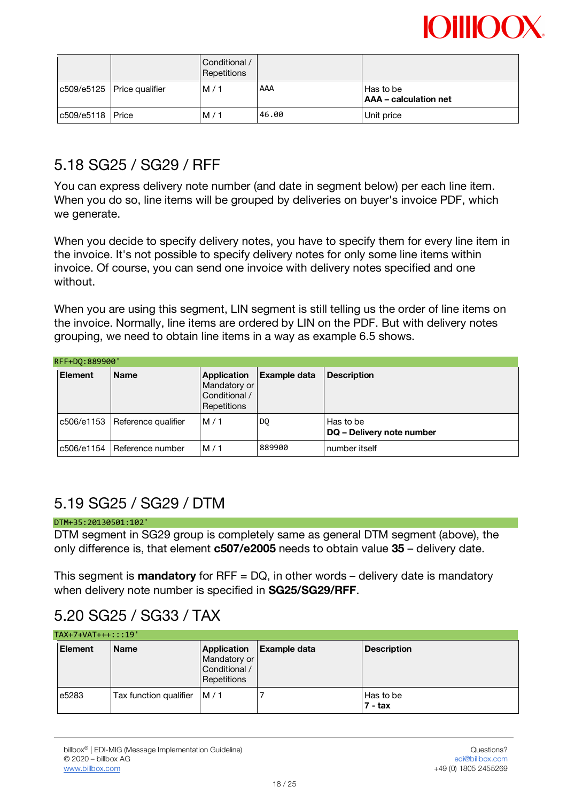

|                  |                              | Conditional /<br>Repetitions |       |                                      |
|------------------|------------------------------|------------------------------|-------|--------------------------------------|
|                  | c509/e5125   Price qualifier | M/1                          | AAA   | Has to be<br>  AAA – calculation net |
| c509/e5118 Price |                              | M/1                          | 46.00 | Unit price                           |

## 5.18 SG25 / SG29 / RFF

You can express delivery note number (and date in segment below) per each line item. When you do so, line items will be grouped by deliveries on buyer's invoice PDF, which we generate.

When you decide to specify delivery notes, you have to specify them for every line item in the invoice. It's not possible to specify delivery notes for only some line items within invoice. Of course, you can send one invoice with delivery notes specified and one without.

When you are using this segment. LIN segment is still telling us the order of line items on the invoice. Normally, line items are ordered by LIN on the PDF. But with delivery notes grouping, we need to obtain line items in a way as example 6.5 shows.

| RFF+D0:889900' |                                |                                                                    |              |                                        |  |  |
|----------------|--------------------------------|--------------------------------------------------------------------|--------------|----------------------------------------|--|--|
| Element        | <b>Name</b>                    | <b>Application</b><br>Mandatory or<br>Conditional /<br>Repetitions | Example data | <b>Description</b>                     |  |  |
|                | c506/e1153 Reference qualifier | M/1                                                                | DQ           | Has to be<br>DQ - Delivery note number |  |  |
| c506/e1154     | l Reference number             | M/1                                                                | 889900       | number itself                          |  |  |

## 5.19 SG25 / SG29 / DTM

#### DTM+35:20130501:102'

DTM segment in SG29 group is completely same as general DTM segment (above), the only difference is, that element **c507/e2005** needs to obtain value **35** – delivery date.

This segment is **mandatory** for RFF = DQ, in other words – delivery date is mandatory when delivery note number is specified in **SG25/SG29/RFF**.

## 5.20 SG25 / SG33 / TAX

| $TAX+7+VAT++$ ::19' |                               |                                                             |                     |                        |  |
|---------------------|-------------------------------|-------------------------------------------------------------|---------------------|------------------------|--|
| <b>Element</b>      | <b>Name</b>                   | Application<br>Mandatory or<br>Conditional /<br>Repetitions | <b>Example data</b> | <b>Description</b>     |  |
| e <sub>5283</sub>   | Tax function qualifier $/M/1$ |                                                             |                     | Has to be<br>$7 - tax$ |  |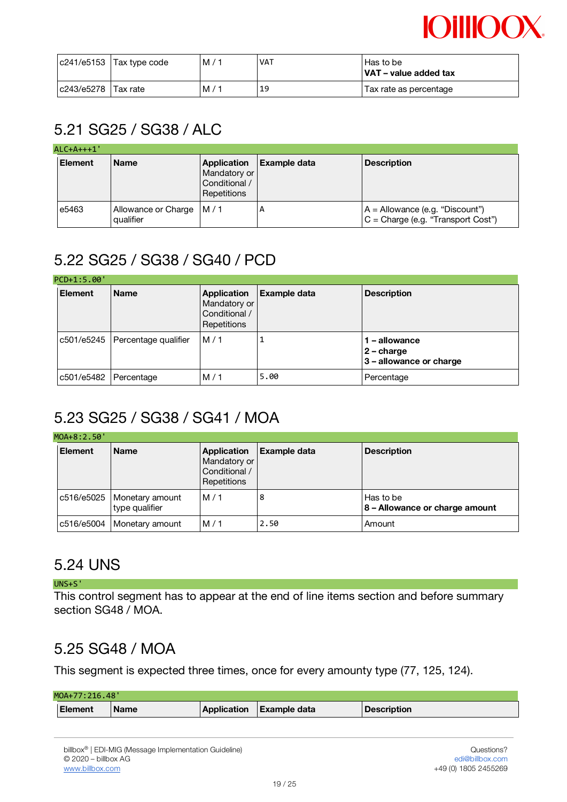

|                       | $ c241/e5153 $ Tax type code | M/ | <b>VAT</b> | Has to be<br>VAT - value added tax |
|-----------------------|------------------------------|----|------------|------------------------------------|
| c243/e5278   Tax rate |                              | M/ | 19         | Tax rate as percentage             |

# 5.21 SG25 / SG38 / ALC

| $ALC+A++1'$    |                                          |                                                             |                     |                                                                         |
|----------------|------------------------------------------|-------------------------------------------------------------|---------------------|-------------------------------------------------------------------------|
| <b>Element</b> | <b>Name</b>                              | Application<br>Mandatory or<br>Conditional /<br>Repetitions | <b>Example data</b> | <b>Description</b>                                                      |
| e5463          | Allowance or Charge   M / 1<br>qualifier |                                                             | А                   | A = Allowance (e.g. "Discount")<br>$C =$ Charge (e.g. "Transport Cost") |

# 5.22 SG25 / SG38 / SG40 / PCD

#### $DCD + 1:5.00'$

|  | ---------             |                                   |                                                             |                     |                                                          |  |
|--|-----------------------|-----------------------------------|-------------------------------------------------------------|---------------------|----------------------------------------------------------|--|
|  | <b>Element</b>        | <b>Name</b>                       | Application<br>Mandatory or<br>Conditional /<br>Repetitions | <b>Example data</b> | <b>Description</b>                                       |  |
|  |                       | c501/e5245   Percentage qualifier | M/1                                                         |                     | 1 - allowance<br>$2$ – charge<br>3 – allowance or charge |  |
|  | c501/e5482 Percentage |                                   | M/1                                                         | 5.00                | Percentage                                               |  |

## 5.23 SG25 / SG38 / SG41 / MOA

|  | MOA+8:2.50'    |                                                |                                                             |              |                                             |  |  |
|--|----------------|------------------------------------------------|-------------------------------------------------------------|--------------|---------------------------------------------|--|--|
|  | <b>Element</b> | <b>Name</b>                                    | Application<br>Mandatory or<br>Conditional /<br>Repetitions | Example data | <b>Description</b>                          |  |  |
|  |                | c516/e5025   Monetary amount<br>type qualifier | M/1                                                         | 8            | Has to be<br>8 - Allowance or charge amount |  |  |
|  |                | c516/e5004   Monetary amount                   | M/1                                                         | 2.50         | Amount                                      |  |  |

## 5.24 UNS

#### UNS+S'

This control segment has to appear at the end of line items section and before summary section SG48 / MOA.

## 5.25 SG48 / MOA

This segment is expected three times, once for every amounty type (77, 125, 124).

| MOA+77:216.48' |             |  |                          |             |
|----------------|-------------|--|--------------------------|-------------|
| <b>Element</b> | <b>Name</b> |  | Application Example data | Description |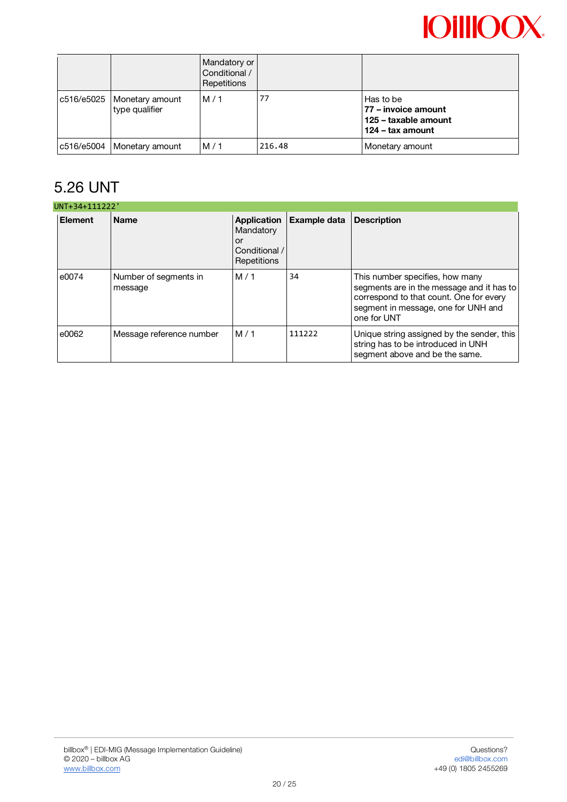|  |                                                | Mandatory or<br>Conditional /<br>Repetitions |        |                                                                              |
|--|------------------------------------------------|----------------------------------------------|--------|------------------------------------------------------------------------------|
|  | c516/e5025   Monetary amount<br>type qualifier | M/1                                          | 77     | Has to be<br>77 – invoice amount<br>125 - taxable amount<br>124 – tax amount |
|  | c516/e5004   Monetary amount                   | M/1                                          | 216.48 | Monetary amount                                                              |

# 5.26 UNT

|                | UNT+34+111222'                   |                                                                       |              |                                                                                                                                                                               |  |  |  |
|----------------|----------------------------------|-----------------------------------------------------------------------|--------------|-------------------------------------------------------------------------------------------------------------------------------------------------------------------------------|--|--|--|
| <b>Element</b> | <b>Name</b>                      | <b>Application</b><br>Mandatory<br>or<br>Conditional /<br>Repetitions | Example data | <b>Description</b>                                                                                                                                                            |  |  |  |
| e0074          | Number of segments in<br>message | M/1                                                                   | 34           | This number specifies, how many<br>segments are in the message and it has to<br>correspond to that count. One for every<br>segment in message, one for UNH and<br>one for UNT |  |  |  |
| e0062          | Message reference number         | M/1                                                                   | 111222       | Unique string assigned by the sender, this<br>string has to be introduced in UNH<br>segment above and be the same.                                                            |  |  |  |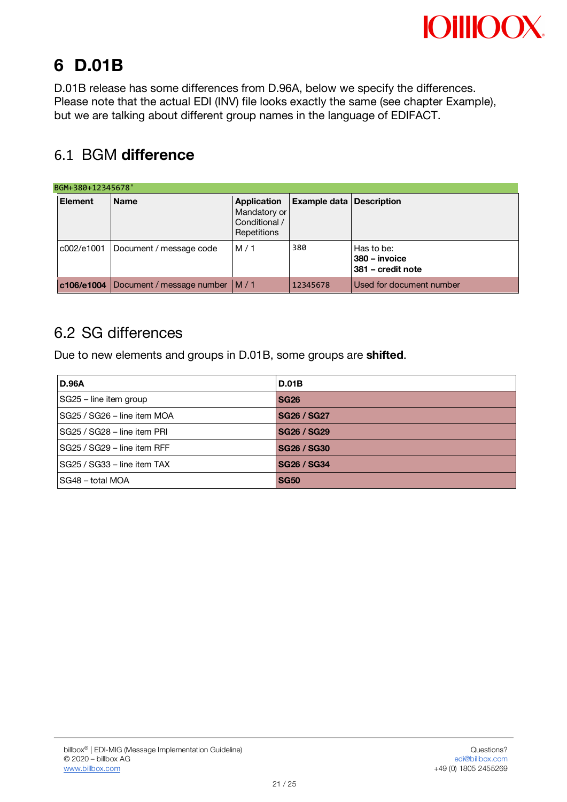

# **6 D.01B**

D.01B release has some differences from D.96A, below we specify the differences. Please note that the actual EDI (INV) file looks exactly the same (see chapter Example), but we are talking about different group names in the language of EDIFACT.

# 6.1 BGM **difference**

| BGM+380+12345678' |                                      |                                                             |                                 |                                                  |  |  |
|-------------------|--------------------------------------|-------------------------------------------------------------|---------------------------------|--------------------------------------------------|--|--|
| <b>Element</b>    | <b>Name</b>                          | Application<br>Mandatory or<br>Conditional /<br>Repetitions | <b>Example data Description</b> |                                                  |  |  |
| c002/e1001_l      | Document / message code              | M/1                                                         | 380                             | Has to be:<br>380 – invoice<br>381 – credit note |  |  |
|                   | c106/e1004 Document / message number | IM/1                                                        | 12345678                        | Used for document number                         |  |  |

## 6.2 SG differences

Due to new elements and groups in D.01B, some groups are **shifted**.

| <b>D.96A</b>                | <b>D.01B</b>       |
|-----------------------------|--------------------|
| SG25 - line item group      | <b>SG26</b>        |
| SG25 / SG26 - line item MOA | <b>SG26 / SG27</b> |
| SG25 / SG28 - line item PRI | <b>SG26 / SG29</b> |
| SG25 / SG29 - line item RFF | <b>SG26 / SG30</b> |
| SG25 / SG33 - line item TAX | <b>SG26 / SG34</b> |
| SG48 - total MOA            | <b>SG50</b>        |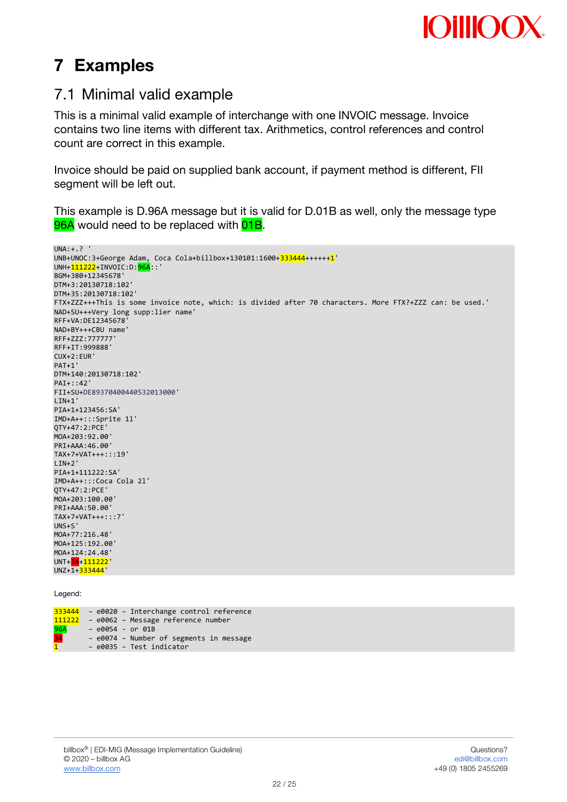

# **7 Examples**

## 7.1 Minimal valid example

This is a minimal valid example of interchange with one INVOIC message. Invoice contains two line items with different tax. Arithmetics, control references and control count are correct in this example.

Invoice should be paid on supplied bank account, if payment method is different, FII segment will be left out.

This example is D.96A message but it is valid for D.01B as well, only the message type 96A would need to be replaced with 01B.

```
UNA:+.? '
UNB+UNOC:3+George Adam, Coca Cola+billbox+130101:1600+333444++++++1'
UNH+211222+INVOIC:D: 96A::'
BGM+380+12345678'
DTM+3:20130718:102'
DTM+35:20130718:102'
FTX+ZZZ+++This is some invoice note, which: is divided after 70 characters. More FTX?+ZZZ can: be used.'
NAD+SU+++Very long supp:lier name'
RFF+VA:DE12345678'
NAD+BY+++CBU name'
RFF+ZZZ:777777'
RFF+IT:999888'
CUX+2:EUR'
PAT+1'
DTM+140:20130718:102'
PAT + \cdot 42'FII+SU+DE89370400440532013000'
LIN+1'PIA+1+123456:SA'
IMD+A++:::Sprite 1l'
QTY+47:2:PCE'
MOA+203:92.00'
PRI+AAA:46.00'
TAX+7+VAT+++:::19'
I TN+2'
PIA+1+111222:SA'
IMD+A++:::Coca Cola 2l'
QTY+47:2:PCE'
MOA+203:100.00'
PRI+AAA:50.00'
TAX+7+VAT+++:::7'
UNS+S'
MOA+77:216.48'
MOA+125:192.00'
MOA+124:24.48'
UNT+34+111222'
UNZ+1+333444'
```
Legend:

|                  | 333444 - e0020 - Interchange control reference |
|------------------|------------------------------------------------|
| 111222           | - e0062 - Message reference number             |
| $\frac{96A}{34}$ | $-$ e0054 - or 01B                             |
|                  | - e0074 - Number of segments in message        |
| $\overline{1}$   | - e0035 - Test indicator                       |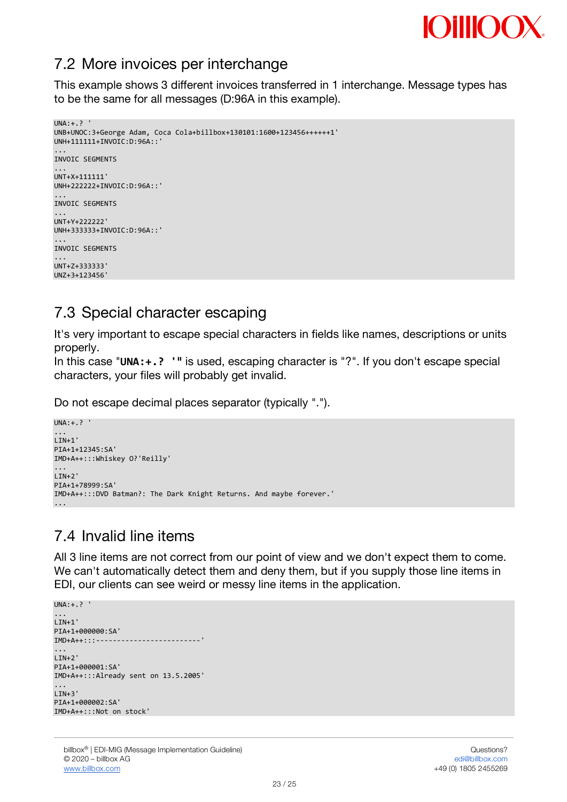

## 7.2 More invoices per interchange

This example shows 3 different invoices transferred in 1 interchange. Message types has to be the same for all messages (D:96A in this example).

```
IINA \cdot + \rightarrowUNB+UNOC:3+George Adam, Coca Cola+billbox+130101:1600+123456++++++1'
UNH+111111+INVOIC:D:96A::'
...
INVOIC SEGMENTS
...
UNT+X+111111'
UNH+222222+INVOIC:D:96A::'
...
INVOIC SEGMENTS
...
UNT+Y+222222'
UNH+333333+INVOIC:D:96A::'
...
INVOIC SEGMENTS
...
UNT+Z+333333'
UNZ+3+123456'
```
## 7.3 Special character escaping

It's very important to escape special characters in fields like names, descriptions or units properly.

In this case "**UNA:+.? '"** is used, escaping character is "?". If you don't escape special characters, your files will probably get invalid.

Do not escape decimal places separator (typically ".").

```
UNA:+.? '
...
LIN+1'
PIA+1+12345:SA'
IMD+A++:::Whiskey O?'Reilly'
...
LIN+2'
PIA+1+78999:SA'
IMD+A++:::DVD Batman?: The Dark Knight Returns. And maybe forever.'
...
```
## 7.4 Invalid line items

All 3 line items are not correct from our point of view and we don't expect them to come. We can't automatically detect them and deny them, but if you supply those line items in EDI, our clients can see weird or messy line items in the application.

```
UNA:+.? '
...
LIN+1'PIA+1+000000:SA'
IMD+A++:::-------------------------'
...
LIN+2'
PTA+1+000001 \cdot S_A'IMD+A++:::Already sent on 13.5.2005'
...
LIN+3'
PIA+1+000002:SA'
IMD+A++:::Not on stock'
```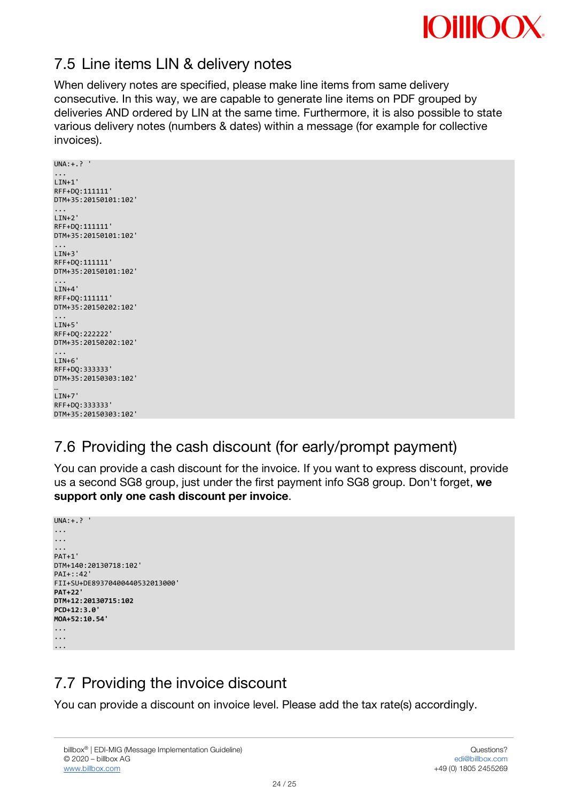

## 7.5 Line items LIN & delivery notes

When delivery notes are specified, please make line items from same delivery consecutive. In this way, we are capable to generate line items on PDF grouped by deliveries AND ordered by LIN at the same time. Furthermore, it is also possible to state various delivery notes (numbers & dates) within a message (for example for collective invoices).

```
UNA: + ? '
...
LIN+1'
RFF+DQ:111111'
DTM+35:20150101:102'
...
LIN+2'
RFF+DQ:111111'
DTM+35:20150101:102'
...
LIN+3'
RFF+DQ:111111'
DTM+35:20150101:102'
...
I TN+4'
RFF+DQ:111111'
DTM+35:20150202:102'
...
LIN+5'
RFF+DQ:222222'
DTM+35:20150202:102'
...
LIN+6'
RFF+DQ:333333'
DTM+35:20150303:102'
…
LIN+7'
RFF+DQ:333333'
```
DTM+35:20150303:102'

# 7.6 Providing the cash discount (for early/prompt payment)

You can provide a cash discount for the invoice. If you want to express discount, provide us a second SG8 group, just under the first payment info SG8 group. Don't forget, **we support only one cash discount per invoice**.

```
UNA:+.? '
...
...
...
PAT+1'
DTM+140:20130718:102'
PAI+::42'
FII+SU+DE89370400440532013000'
PAT+22'
DTM+12:20130715:102
PCD+12:3.0'
MOA+52:10.54'
...
...
...
```
# 7.7 Providing the invoice discount

You can provide a discount on invoice level. Please add the tax rate(s) accordingly.